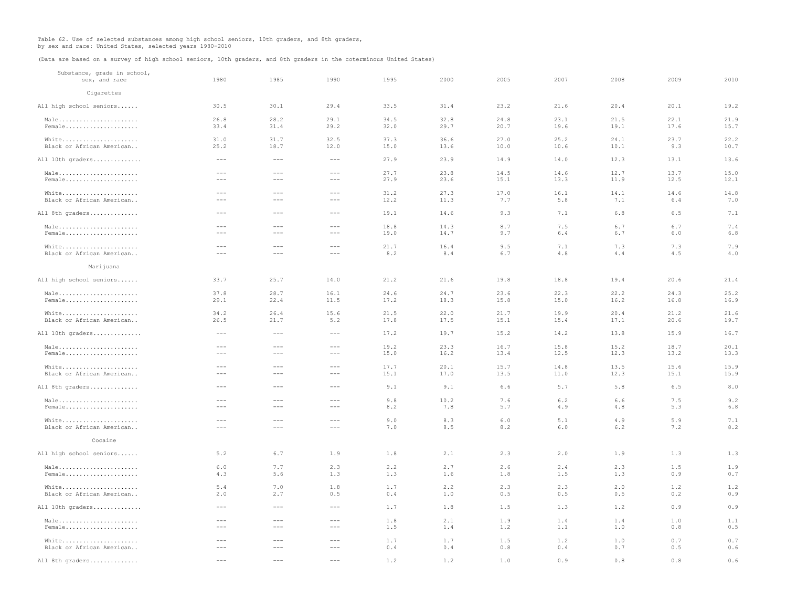Table 62. Use of selected substances among high school seniors, 10th graders, and 8th graders, by sex and race: United States, selected years 1980-2010

(Data are based on a survey of high school seniors, 10th graders, and 8th graders in the coterminous United States)

| Substance, grade in school,<br>sex, and race              | 1980                                                                                                                                                                                                                                                                                                                                                                                         | 1985                                                                                                                                                                                                                                                                                                                                                                                         | 1990                                                                                                                                                                                                                                                                                                                                                                                         | 1995 | 2000 | 2005  | 2007 | 2008 | 2009  | 2010 |
|-----------------------------------------------------------|----------------------------------------------------------------------------------------------------------------------------------------------------------------------------------------------------------------------------------------------------------------------------------------------------------------------------------------------------------------------------------------------|----------------------------------------------------------------------------------------------------------------------------------------------------------------------------------------------------------------------------------------------------------------------------------------------------------------------------------------------------------------------------------------------|----------------------------------------------------------------------------------------------------------------------------------------------------------------------------------------------------------------------------------------------------------------------------------------------------------------------------------------------------------------------------------------------|------|------|-------|------|------|-------|------|
| Cigarettes                                                |                                                                                                                                                                                                                                                                                                                                                                                              |                                                                                                                                                                                                                                                                                                                                                                                              |                                                                                                                                                                                                                                                                                                                                                                                              |      |      |       |      |      |       |      |
| All high school seniors                                   | 30.5                                                                                                                                                                                                                                                                                                                                                                                         | 30.1                                                                                                                                                                                                                                                                                                                                                                                         | 29.4                                                                                                                                                                                                                                                                                                                                                                                         | 33.5 | 31.4 | 23.2  | 21.6 | 20.4 | 20.1  | 19.2 |
| Male                                                      | 26.8                                                                                                                                                                                                                                                                                                                                                                                         | 28.2                                                                                                                                                                                                                                                                                                                                                                                         | 29.1                                                                                                                                                                                                                                                                                                                                                                                         | 34.5 | 32.8 | 24.8  | 23.1 | 21.5 | 22.1  | 21.9 |
| Female                                                    | 33.4                                                                                                                                                                                                                                                                                                                                                                                         | 31.4                                                                                                                                                                                                                                                                                                                                                                                         | 29.2                                                                                                                                                                                                                                                                                                                                                                                         | 32.0 | 29.7 | 20.7  | 19.6 | 19.1 | 17.6  | 15.7 |
| White                                                     | 31.0                                                                                                                                                                                                                                                                                                                                                                                         | 31.7                                                                                                                                                                                                                                                                                                                                                                                         | 32.5                                                                                                                                                                                                                                                                                                                                                                                         | 37.3 | 36.6 | 27.0  | 25.2 | 24.1 | 23.7  | 22.2 |
| Black or African American                                 | 25.2                                                                                                                                                                                                                                                                                                                                                                                         | 18.7                                                                                                                                                                                                                                                                                                                                                                                         | 12.0                                                                                                                                                                                                                                                                                                                                                                                         | 15.0 | 13.6 | 10.0  | 10.6 | 10.1 | 9.3   | 10.7 |
| All 10th graders                                          | $\cdots$                                                                                                                                                                                                                                                                                                                                                                                     | $\sim$ $\sim$ $\sim$                                                                                                                                                                                                                                                                                                                                                                         | $  -$                                                                                                                                                                                                                                                                                                                                                                                        | 27.9 | 23.9 | 14.9  | 14.0 | 12.3 | 13.1  | 13.6 |
| Male                                                      | $---$                                                                                                                                                                                                                                                                                                                                                                                        | $\frac{1}{2}$                                                                                                                                                                                                                                                                                                                                                                                | $\frac{1}{2}$                                                                                                                                                                                                                                                                                                                                                                                | 27.7 | 23.8 | 14.5  | 146  | 12.7 | 137   | 15.0 |
| $Female \ldots \ldots \ldots \ldots \ldots \ldots \ldots$ | $---$                                                                                                                                                                                                                                                                                                                                                                                        | $\frac{1}{2}$                                                                                                                                                                                                                                                                                                                                                                                | $\frac{1}{2}$                                                                                                                                                                                                                                                                                                                                                                                | 27.9 | 23.6 | 15.1  | 13.3 | 11.9 | 12.5  | 12.1 |
| White                                                     | $- - -$                                                                                                                                                                                                                                                                                                                                                                                      | $\frac{1}{2}$                                                                                                                                                                                                                                                                                                                                                                                | $\frac{1}{2}$                                                                                                                                                                                                                                                                                                                                                                                | 31.2 | 27.3 | 17.0  | 16.1 | 14.1 | 14.6  | 14.8 |
| Black or African American                                 | $\frac{1}{2} \frac{1}{2} \frac{1}{2} \frac{1}{2} \frac{1}{2} \frac{1}{2} \frac{1}{2} \frac{1}{2} \frac{1}{2} \frac{1}{2} \frac{1}{2} \frac{1}{2} \frac{1}{2} \frac{1}{2} \frac{1}{2} \frac{1}{2} \frac{1}{2} \frac{1}{2} \frac{1}{2} \frac{1}{2} \frac{1}{2} \frac{1}{2} \frac{1}{2} \frac{1}{2} \frac{1}{2} \frac{1}{2} \frac{1}{2} \frac{1}{2} \frac{1}{2} \frac{1}{2} \frac{1}{2} \frac{$ | $\sim$ $\sim$ $\sim$                                                                                                                                                                                                                                                                                                                                                                         | $\frac{1}{2}$                                                                                                                                                                                                                                                                                                                                                                                | 12.2 | 11.3 | 7.7   | 5.8  | 7.1  | 6.4   | 7.0  |
| All 8th graders                                           | $\frac{1}{2} \frac{1}{2} \frac{1}{2} \frac{1}{2} \frac{1}{2} \frac{1}{2} \frac{1}{2} \frac{1}{2} \frac{1}{2} \frac{1}{2} \frac{1}{2} \frac{1}{2} \frac{1}{2} \frac{1}{2} \frac{1}{2} \frac{1}{2} \frac{1}{2} \frac{1}{2} \frac{1}{2} \frac{1}{2} \frac{1}{2} \frac{1}{2} \frac{1}{2} \frac{1}{2} \frac{1}{2} \frac{1}{2} \frac{1}{2} \frac{1}{2} \frac{1}{2} \frac{1}{2} \frac{1}{2} \frac{$ | $\sim$ $\sim$ $\sim$                                                                                                                                                                                                                                                                                                                                                                         | $\sim$ $\sim$ $\sim$                                                                                                                                                                                                                                                                                                                                                                         | 19.1 | 14.6 | 9.3   | 7.1  | 6.8  | 6.5   | 7.1  |
| Male                                                      | $- - -$                                                                                                                                                                                                                                                                                                                                                                                      | $\frac{1}{2} \frac{1}{2} \frac{1}{2} \frac{1}{2} \frac{1}{2} \frac{1}{2} \frac{1}{2} \frac{1}{2} \frac{1}{2} \frac{1}{2} \frac{1}{2} \frac{1}{2} \frac{1}{2} \frac{1}{2} \frac{1}{2} \frac{1}{2} \frac{1}{2} \frac{1}{2} \frac{1}{2} \frac{1}{2} \frac{1}{2} \frac{1}{2} \frac{1}{2} \frac{1}{2} \frac{1}{2} \frac{1}{2} \frac{1}{2} \frac{1}{2} \frac{1}{2} \frac{1}{2} \frac{1}{2} \frac{$ | $\sim$ $\sim$ $\sim$                                                                                                                                                                                                                                                                                                                                                                         | 18.8 | 14.3 | 8.7   | 7.5  | 6.7  | 6.7   | 7.4  |
| Female                                                    | $\frac{1}{2}$                                                                                                                                                                                                                                                                                                                                                                                | $\frac{1}{2}$                                                                                                                                                                                                                                                                                                                                                                                | $\frac{1}{2}$                                                                                                                                                                                                                                                                                                                                                                                | 19.0 | 14.7 | 9.7   | 6.4  | 6.7  | $6.0$ | 6.8  |
| White                                                     | $\frac{1}{2}$                                                                                                                                                                                                                                                                                                                                                                                | $\frac{1}{2}$                                                                                                                                                                                                                                                                                                                                                                                | $\frac{1}{2} \frac{1}{2} \frac{1}{2} \frac{1}{2} \frac{1}{2} \frac{1}{2} \frac{1}{2} \frac{1}{2} \frac{1}{2} \frac{1}{2} \frac{1}{2} \frac{1}{2} \frac{1}{2} \frac{1}{2} \frac{1}{2} \frac{1}{2} \frac{1}{2} \frac{1}{2} \frac{1}{2} \frac{1}{2} \frac{1}{2} \frac{1}{2} \frac{1}{2} \frac{1}{2} \frac{1}{2} \frac{1}{2} \frac{1}{2} \frac{1}{2} \frac{1}{2} \frac{1}{2} \frac{1}{2} \frac{$ | 21.7 | 16.4 | 9.5   | 7.1  | 7.3  | 7.3   | 7.9  |
| Black or African American                                 | $- - -$                                                                                                                                                                                                                                                                                                                                                                                      | $\frac{1}{2}$                                                                                                                                                                                                                                                                                                                                                                                | $\frac{1}{2}$                                                                                                                                                                                                                                                                                                                                                                                | 8.2  | 8.4  | 6.7   | 4.8  | 4.4  | 4.5   | 4.0  |
| Marijuana                                                 |                                                                                                                                                                                                                                                                                                                                                                                              |                                                                                                                                                                                                                                                                                                                                                                                              |                                                                                                                                                                                                                                                                                                                                                                                              |      |      |       |      |      |       |      |
| All high school seniors                                   | 33.7                                                                                                                                                                                                                                                                                                                                                                                         | 25.7                                                                                                                                                                                                                                                                                                                                                                                         | 14.0                                                                                                                                                                                                                                                                                                                                                                                         | 21.2 | 21.6 | 19.8  | 18.8 | 19.4 | 20.6  | 21.4 |
| Male                                                      | 37.8                                                                                                                                                                                                                                                                                                                                                                                         | 28.7                                                                                                                                                                                                                                                                                                                                                                                         | 16.1                                                                                                                                                                                                                                                                                                                                                                                         | 24.6 | 24.7 | 23.6  | 22.3 | 22.2 | 24.3  | 25.2 |
| Female                                                    | 29.1                                                                                                                                                                                                                                                                                                                                                                                         | 22.4                                                                                                                                                                                                                                                                                                                                                                                         | 11.5                                                                                                                                                                                                                                                                                                                                                                                         | 17.2 | 18.3 | 15.8  | 15.0 | 16.2 | 16.8  | 16.9 |
| White                                                     | 34.2                                                                                                                                                                                                                                                                                                                                                                                         | 26.4                                                                                                                                                                                                                                                                                                                                                                                         | 15.6                                                                                                                                                                                                                                                                                                                                                                                         | 21.5 | 22.0 | 21.7  | 19.9 | 20.4 | 21.2  | 21.6 |
| Black or African American                                 | 26.5                                                                                                                                                                                                                                                                                                                                                                                         | 21.7                                                                                                                                                                                                                                                                                                                                                                                         | 5.2                                                                                                                                                                                                                                                                                                                                                                                          | 17.8 | 17.5 | 15.1  | 15.4 | 17.1 | 20.6  | 19.7 |
| All 10th graders                                          | $\sim$ $\sim$ $\sim$                                                                                                                                                                                                                                                                                                                                                                         | $\sim$ $\sim$ $\sim$                                                                                                                                                                                                                                                                                                                                                                         | $\sim$ $\sim$ $\sim$                                                                                                                                                                                                                                                                                                                                                                         | 17.2 | 19.7 | 15.2  | 14.2 | 13.8 | 15.9  | 16.7 |
| Male                                                      | $- - -$                                                                                                                                                                                                                                                                                                                                                                                      | $\frac{1}{2} \frac{1}{2} \frac{1}{2} \frac{1}{2} \frac{1}{2} \frac{1}{2} \frac{1}{2} \frac{1}{2} \frac{1}{2} \frac{1}{2} \frac{1}{2} \frac{1}{2} \frac{1}{2} \frac{1}{2} \frac{1}{2} \frac{1}{2} \frac{1}{2} \frac{1}{2} \frac{1}{2} \frac{1}{2} \frac{1}{2} \frac{1}{2} \frac{1}{2} \frac{1}{2} \frac{1}{2} \frac{1}{2} \frac{1}{2} \frac{1}{2} \frac{1}{2} \frac{1}{2} \frac{1}{2} \frac{$ | $\sim$ $\sim$ $\sim$                                                                                                                                                                                                                                                                                                                                                                         | 19.2 | 23.3 | 16.7  | 15.8 | 15.2 | 18.7  | 20.1 |
| Female                                                    | $\frac{1}{2} \frac{1}{2} \frac{1}{2} \frac{1}{2} \frac{1}{2} \frac{1}{2} \frac{1}{2} \frac{1}{2} \frac{1}{2} \frac{1}{2} \frac{1}{2} \frac{1}{2} \frac{1}{2} \frac{1}{2} \frac{1}{2} \frac{1}{2} \frac{1}{2} \frac{1}{2} \frac{1}{2} \frac{1}{2} \frac{1}{2} \frac{1}{2} \frac{1}{2} \frac{1}{2} \frac{1}{2} \frac{1}{2} \frac{1}{2} \frac{1}{2} \frac{1}{2} \frac{1}{2} \frac{1}{2} \frac{$ | $\sim$ $\sim$ $\sim$                                                                                                                                                                                                                                                                                                                                                                         | $\sim$ $\sim$ $\sim$                                                                                                                                                                                                                                                                                                                                                                         | 15.0 | 16.2 | 13.4  | 12.5 | 12.3 | 13.2  | 13.3 |
| White                                                     | $ -$                                                                                                                                                                                                                                                                                                                                                                                         | $ -$                                                                                                                                                                                                                                                                                                                                                                                         | $= - -$                                                                                                                                                                                                                                                                                                                                                                                      | 17.7 | 20.1 | 15.7  | 14.8 | 13.5 | 15.6  | 15.9 |
| Black or African American                                 | $\frac{1}{2}$                                                                                                                                                                                                                                                                                                                                                                                | $\frac{1}{2}$                                                                                                                                                                                                                                                                                                                                                                                | $\frac{1}{2}$                                                                                                                                                                                                                                                                                                                                                                                | 15.1 | 17.0 | 13.5  | 11.0 | 12.3 | 15.1  | 15.9 |
| All 8th graders                                           | $\frac{1}{2}$                                                                                                                                                                                                                                                                                                                                                                                | $\frac{1}{2}$                                                                                                                                                                                                                                                                                                                                                                                | $\frac{1}{2}$                                                                                                                                                                                                                                                                                                                                                                                | 9.1  | 9.1  | 6.6   | 5.7  | 5.8  | 6.5   | 8.0  |
| Male                                                      | $ -$                                                                                                                                                                                                                                                                                                                                                                                         | $ -$                                                                                                                                                                                                                                                                                                                                                                                         | $= - -$                                                                                                                                                                                                                                                                                                                                                                                      | 9.8  | 10.2 | 7.6   | 6.2  | 6.6  | 7.5   | 9.2  |
| Female                                                    | $---$                                                                                                                                                                                                                                                                                                                                                                                        | $\frac{1}{2}$                                                                                                                                                                                                                                                                                                                                                                                | $\frac{1}{2} \frac{1}{2} \frac{1}{2} \frac{1}{2} \frac{1}{2} \frac{1}{2} \frac{1}{2} \frac{1}{2} \frac{1}{2} \frac{1}{2} \frac{1}{2} \frac{1}{2} \frac{1}{2} \frac{1}{2} \frac{1}{2} \frac{1}{2} \frac{1}{2} \frac{1}{2} \frac{1}{2} \frac{1}{2} \frac{1}{2} \frac{1}{2} \frac{1}{2} \frac{1}{2} \frac{1}{2} \frac{1}{2} \frac{1}{2} \frac{1}{2} \frac{1}{2} \frac{1}{2} \frac{1}{2} \frac{$ | 8.2  | 7.8  | 5.7   | 4.9  | 4.8  | 5.3   | 6.8  |
| White                                                     | $\frac{1}{2}$                                                                                                                                                                                                                                                                                                                                                                                | $\frac{1}{2}$                                                                                                                                                                                                                                                                                                                                                                                | $\frac{1}{2}$                                                                                                                                                                                                                                                                                                                                                                                | 9.0  | 8.3  | 6.0   | 5.1  | 4.9  | 5.9   | 7.1  |
| Black or African American                                 | $\frac{1}{2}$                                                                                                                                                                                                                                                                                                                                                                                | $\frac{1}{2}$                                                                                                                                                                                                                                                                                                                                                                                | $\frac{1}{2}$                                                                                                                                                                                                                                                                                                                                                                                | 7.0  | 8.5  | 8.2   | 6.0  | 6.2  | 7.2   | 8.2  |
| Cocaine                                                   |                                                                                                                                                                                                                                                                                                                                                                                              |                                                                                                                                                                                                                                                                                                                                                                                              |                                                                                                                                                                                                                                                                                                                                                                                              |      |      |       |      |      |       |      |
| All high school seniors                                   | 5.2                                                                                                                                                                                                                                                                                                                                                                                          | 6.7                                                                                                                                                                                                                                                                                                                                                                                          | 1.9                                                                                                                                                                                                                                                                                                                                                                                          | 1.8  | 2.1  | 2.3   | 2.0  | 1.9  | 1.3   | 1.3  |
| Male                                                      | 6.0                                                                                                                                                                                                                                                                                                                                                                                          | 7.7                                                                                                                                                                                                                                                                                                                                                                                          | 2.3                                                                                                                                                                                                                                                                                                                                                                                          | 2.2  | 2.7  | 2.6   | 2.4  | 2.3  | 1.5   | 1.9  |
| Female                                                    | 4.3                                                                                                                                                                                                                                                                                                                                                                                          | 5.6                                                                                                                                                                                                                                                                                                                                                                                          | 1.3                                                                                                                                                                                                                                                                                                                                                                                          | 1.3  | 1.6  | 1.8   | 1.5  | 1.3  | 0.9   | 0.7  |
| White                                                     | 5.4                                                                                                                                                                                                                                                                                                                                                                                          | 7.0                                                                                                                                                                                                                                                                                                                                                                                          | 1.8                                                                                                                                                                                                                                                                                                                                                                                          | 1.7  | 2.2  | 2.3   | 2.3  | 2.0  | 1.2   | 1.2  |
| Black or African American                                 | 2.0                                                                                                                                                                                                                                                                                                                                                                                          | 2.7                                                                                                                                                                                                                                                                                                                                                                                          | 0.5                                                                                                                                                                                                                                                                                                                                                                                          | 0.4  | 1.0  | 0.5   | 0.5  | 0.5  | 0.2   | 0.9  |
| All 10th graders                                          | $  -$                                                                                                                                                                                                                                                                                                                                                                                        | $  -$                                                                                                                                                                                                                                                                                                                                                                                        | $\frac{1}{2}$                                                                                                                                                                                                                                                                                                                                                                                | 1.7  | 1.8  | 1.5   | 1.3  | 1.2  | 0.9   | 0.9  |
| Male                                                      | $ -$                                                                                                                                                                                                                                                                                                                                                                                         | $ -$                                                                                                                                                                                                                                                                                                                                                                                         | $= - -$                                                                                                                                                                                                                                                                                                                                                                                      | 1.8  | 2.1  | 1.9   | 1.4  | 1.4  | 1.0   | 1.1  |
| Female                                                    | $\frac{1}{2}$                                                                                                                                                                                                                                                                                                                                                                                | $\frac{1}{2}$                                                                                                                                                                                                                                                                                                                                                                                | $\frac{1}{2}$                                                                                                                                                                                                                                                                                                                                                                                | 1.5  | 1.4  | 1.2   | 1.1  | 1.0  | 0.8   | 0.5  |
| White                                                     | $ -$                                                                                                                                                                                                                                                                                                                                                                                         | $\frac{1}{2}$                                                                                                                                                                                                                                                                                                                                                                                | $\frac{1}{2}$                                                                                                                                                                                                                                                                                                                                                                                | 1.7  | 1.7  | 1.5   | 1.2  | 1.0  | 0.7   | 0.7  |
| Black or African American                                 | $- - -$                                                                                                                                                                                                                                                                                                                                                                                      | $\frac{1}{2}$                                                                                                                                                                                                                                                                                                                                                                                | $\frac{1}{2} \frac{1}{2} \frac{1}{2} \frac{1}{2} \frac{1}{2} \frac{1}{2} \frac{1}{2} \frac{1}{2} \frac{1}{2} \frac{1}{2} \frac{1}{2} \frac{1}{2} \frac{1}{2} \frac{1}{2} \frac{1}{2} \frac{1}{2} \frac{1}{2} \frac{1}{2} \frac{1}{2} \frac{1}{2} \frac{1}{2} \frac{1}{2} \frac{1}{2} \frac{1}{2} \frac{1}{2} \frac{1}{2} \frac{1}{2} \frac{1}{2} \frac{1}{2} \frac{1}{2} \frac{1}{2} \frac{$ | 0.4  | 0.4  | 0.8   | 0.4  | 0.7  | 0.5   | 0.6  |
| All 8th graders                                           | $\frac{1}{2}$                                                                                                                                                                                                                                                                                                                                                                                | $\frac{1}{2}$                                                                                                                                                                                                                                                                                                                                                                                | $\frac{1}{2}$                                                                                                                                                                                                                                                                                                                                                                                | 1.2  | 1.2  | $1.0$ | 0.9  | 0.8  | 0.8   | 0.6  |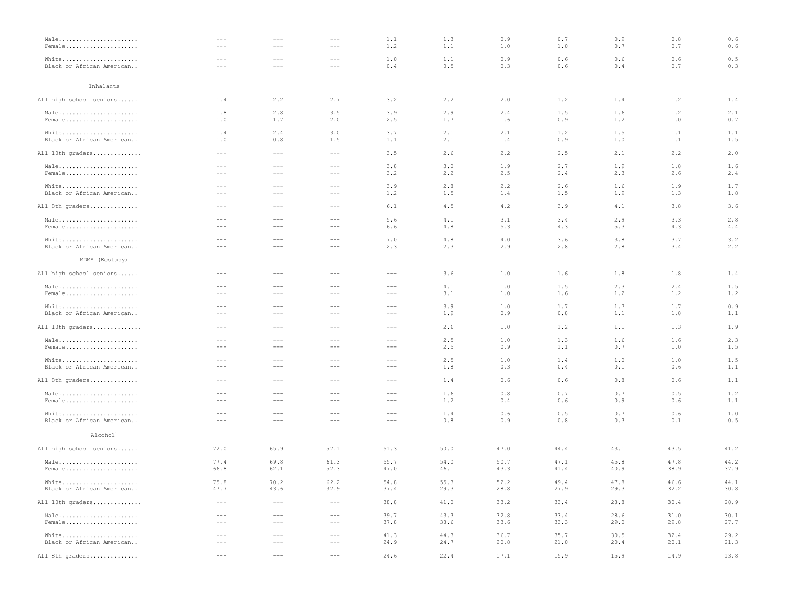| Male                      | ---                                                                                                                                                                                                                                                                                                                                                                                          | $- - -$                                                                                                                                                                                                                                                                                                                                                                                      | $\cdots$                                                                                                                                                                                                                                                                                                                                                                                     | 1.1                                                                                                                                                                                                                                                                                                                                                                                          | 1.3   | 0.9  | 0.7  | 0.9   | 0.8  | 0.6  |
|---------------------------|----------------------------------------------------------------------------------------------------------------------------------------------------------------------------------------------------------------------------------------------------------------------------------------------------------------------------------------------------------------------------------------------|----------------------------------------------------------------------------------------------------------------------------------------------------------------------------------------------------------------------------------------------------------------------------------------------------------------------------------------------------------------------------------------------|----------------------------------------------------------------------------------------------------------------------------------------------------------------------------------------------------------------------------------------------------------------------------------------------------------------------------------------------------------------------------------------------|----------------------------------------------------------------------------------------------------------------------------------------------------------------------------------------------------------------------------------------------------------------------------------------------------------------------------------------------------------------------------------------------|-------|------|------|-------|------|------|
| Female                    | $\frac{1}{2} \frac{1}{2} \frac{1}{2} \frac{1}{2} \frac{1}{2} \frac{1}{2} \frac{1}{2} \frac{1}{2} \frac{1}{2} \frac{1}{2} \frac{1}{2} \frac{1}{2} \frac{1}{2} \frac{1}{2} \frac{1}{2} \frac{1}{2} \frac{1}{2} \frac{1}{2} \frac{1}{2} \frac{1}{2} \frac{1}{2} \frac{1}{2} \frac{1}{2} \frac{1}{2} \frac{1}{2} \frac{1}{2} \frac{1}{2} \frac{1}{2} \frac{1}{2} \frac{1}{2} \frac{1}{2} \frac{$ | $\frac{1}{2}$                                                                                                                                                                                                                                                                                                                                                                                | $\frac{1}{2}$                                                                                                                                                                                                                                                                                                                                                                                | 1.2                                                                                                                                                                                                                                                                                                                                                                                          | 1.1   | 1.0  | 1.0  | 0.7   | 0.7  | 0.6  |
| White                     | $\frac{1}{2}$                                                                                                                                                                                                                                                                                                                                                                                | $\cdots$ $\cdots$                                                                                                                                                                                                                                                                                                                                                                            |                                                                                                                                                                                                                                                                                                                                                                                              | 1.0                                                                                                                                                                                                                                                                                                                                                                                          | 1.1   | 0.9  | 0.6  | 0.6   | 0.6  | 0.5  |
| Black or African American | $\cdots$                                                                                                                                                                                                                                                                                                                                                                                     | $\frac{1}{2} \frac{1}{2} \frac{1}{2} \frac{1}{2} \frac{1}{2} \frac{1}{2} \frac{1}{2} \frac{1}{2} \frac{1}{2} \frac{1}{2} \frac{1}{2} \frac{1}{2} \frac{1}{2} \frac{1}{2} \frac{1}{2} \frac{1}{2} \frac{1}{2} \frac{1}{2} \frac{1}{2} \frac{1}{2} \frac{1}{2} \frac{1}{2} \frac{1}{2} \frac{1}{2} \frac{1}{2} \frac{1}{2} \frac{1}{2} \frac{1}{2} \frac{1}{2} \frac{1}{2} \frac{1}{2} \frac{$ | $\cdots$                                                                                                                                                                                                                                                                                                                                                                                     | 0.4                                                                                                                                                                                                                                                                                                                                                                                          | 0.5   | 0.3  | 0.6  | 0.4   | 0.7  | 0.3  |
| Inhalants                 |                                                                                                                                                                                                                                                                                                                                                                                              |                                                                                                                                                                                                                                                                                                                                                                                              |                                                                                                                                                                                                                                                                                                                                                                                              |                                                                                                                                                                                                                                                                                                                                                                                              |       |      |      |       |      |      |
| All high school seniors   | 1.4                                                                                                                                                                                                                                                                                                                                                                                          | 2.2                                                                                                                                                                                                                                                                                                                                                                                          | 2.7                                                                                                                                                                                                                                                                                                                                                                                          | 3.2                                                                                                                                                                                                                                                                                                                                                                                          | 2.2   | 2.0  | 1.2  | 1.4   | 1.2  | 1.4  |
| Male                      | 1.8                                                                                                                                                                                                                                                                                                                                                                                          | 2.8                                                                                                                                                                                                                                                                                                                                                                                          | 3.5                                                                                                                                                                                                                                                                                                                                                                                          | 3.9                                                                                                                                                                                                                                                                                                                                                                                          | 2.9   | 2.4  | 1.5  | 1.6   | 1.2  | 2.1  |
| Female                    | 1.0                                                                                                                                                                                                                                                                                                                                                                                          | 1.7                                                                                                                                                                                                                                                                                                                                                                                          | 2.0                                                                                                                                                                                                                                                                                                                                                                                          | 2.5                                                                                                                                                                                                                                                                                                                                                                                          | 1.7   | 1.6  | 0.9  | 1.2   | 1.0  | 0.7  |
| White                     | 1.4                                                                                                                                                                                                                                                                                                                                                                                          | 2.4                                                                                                                                                                                                                                                                                                                                                                                          | 3.0                                                                                                                                                                                                                                                                                                                                                                                          | 3.7                                                                                                                                                                                                                                                                                                                                                                                          | 2.1   | 2.1  | 1.2  | 1.5   | 1.1  | 1.1  |
| Black or African American | 1.0                                                                                                                                                                                                                                                                                                                                                                                          | 0.8                                                                                                                                                                                                                                                                                                                                                                                          | 1.5                                                                                                                                                                                                                                                                                                                                                                                          | 1.1                                                                                                                                                                                                                                                                                                                                                                                          | 2.1   | 1.4  | 0.9  | 1.0   | 1.1  | 1.5  |
| All 10th graders          | $\cdots$                                                                                                                                                                                                                                                                                                                                                                                     | $\cdots$ $\cdots$                                                                                                                                                                                                                                                                                                                                                                            | $\cdots$ $\cdots$                                                                                                                                                                                                                                                                                                                                                                            | 3.5                                                                                                                                                                                                                                                                                                                                                                                          | 2.6   | 2.2  | 2.5  | 2.1   | 2.2  | 2.0  |
| Male                      | $\cdots$                                                                                                                                                                                                                                                                                                                                                                                     | $\cdots$ $\cdots$                                                                                                                                                                                                                                                                                                                                                                            |                                                                                                                                                                                                                                                                                                                                                                                              | 3.8                                                                                                                                                                                                                                                                                                                                                                                          | 3.0   | 1.9  | 2.7  | 1.9   | 1.8  | 1.6  |
| Female                    | $\frac{1}{2} \frac{1}{2} \frac{1}{2} \frac{1}{2} \frac{1}{2} \frac{1}{2} \frac{1}{2} \frac{1}{2} \frac{1}{2} \frac{1}{2} \frac{1}{2} \frac{1}{2} \frac{1}{2} \frac{1}{2} \frac{1}{2} \frac{1}{2} \frac{1}{2} \frac{1}{2} \frac{1}{2} \frac{1}{2} \frac{1}{2} \frac{1}{2} \frac{1}{2} \frac{1}{2} \frac{1}{2} \frac{1}{2} \frac{1}{2} \frac{1}{2} \frac{1}{2} \frac{1}{2} \frac{1}{2} \frac{$ | $\frac{1}{2} \frac{1}{2} \frac{1}{2} \frac{1}{2} \frac{1}{2} \frac{1}{2} \frac{1}{2} \frac{1}{2} \frac{1}{2} \frac{1}{2} \frac{1}{2} \frac{1}{2} \frac{1}{2} \frac{1}{2} \frac{1}{2} \frac{1}{2} \frac{1}{2} \frac{1}{2} \frac{1}{2} \frac{1}{2} \frac{1}{2} \frac{1}{2} \frac{1}{2} \frac{1}{2} \frac{1}{2} \frac{1}{2} \frac{1}{2} \frac{1}{2} \frac{1}{2} \frac{1}{2} \frac{1}{2} \frac{$ | $\frac{1}{2} \frac{1}{2} \frac{1}{2} \frac{1}{2} \frac{1}{2} \frac{1}{2} \frac{1}{2} \frac{1}{2} \frac{1}{2} \frac{1}{2} \frac{1}{2} \frac{1}{2} \frac{1}{2} \frac{1}{2} \frac{1}{2} \frac{1}{2} \frac{1}{2} \frac{1}{2} \frac{1}{2} \frac{1}{2} \frac{1}{2} \frac{1}{2} \frac{1}{2} \frac{1}{2} \frac{1}{2} \frac{1}{2} \frac{1}{2} \frac{1}{2} \frac{1}{2} \frac{1}{2} \frac{1}{2} \frac{$ | 3.2                                                                                                                                                                                                                                                                                                                                                                                          | 2.2   | 2.5  | 2.4  | 2.3   | 2.6  | 2.4  |
| White                     | $- - -$                                                                                                                                                                                                                                                                                                                                                                                      | $\frac{1}{2} \frac{1}{2} \frac{1}{2} \frac{1}{2} \frac{1}{2} \frac{1}{2} \frac{1}{2} \frac{1}{2} \frac{1}{2} \frac{1}{2} \frac{1}{2} \frac{1}{2} \frac{1}{2} \frac{1}{2} \frac{1}{2} \frac{1}{2} \frac{1}{2} \frac{1}{2} \frac{1}{2} \frac{1}{2} \frac{1}{2} \frac{1}{2} \frac{1}{2} \frac{1}{2} \frac{1}{2} \frac{1}{2} \frac{1}{2} \frac{1}{2} \frac{1}{2} \frac{1}{2} \frac{1}{2} \frac{$ | $\frac{1}{2} \frac{1}{2} \frac{1}{2} \frac{1}{2} \frac{1}{2} \frac{1}{2} \frac{1}{2} \frac{1}{2} \frac{1}{2} \frac{1}{2} \frac{1}{2} \frac{1}{2} \frac{1}{2} \frac{1}{2} \frac{1}{2} \frac{1}{2} \frac{1}{2} \frac{1}{2} \frac{1}{2} \frac{1}{2} \frac{1}{2} \frac{1}{2} \frac{1}{2} \frac{1}{2} \frac{1}{2} \frac{1}{2} \frac{1}{2} \frac{1}{2} \frac{1}{2} \frac{1}{2} \frac{1}{2} \frac{$ | 3.9                                                                                                                                                                                                                                                                                                                                                                                          | 2.8   | 2.2  | 2.6  | 1.6   | 1.9  | 1.7  |
| Black or African American | $\cdots$                                                                                                                                                                                                                                                                                                                                                                                     | $\frac{1}{2} \frac{1}{2} \frac{1}{2} \frac{1}{2} \frac{1}{2} \frac{1}{2} \frac{1}{2} \frac{1}{2} \frac{1}{2} \frac{1}{2} \frac{1}{2} \frac{1}{2} \frac{1}{2} \frac{1}{2} \frac{1}{2} \frac{1}{2} \frac{1}{2} \frac{1}{2} \frac{1}{2} \frac{1}{2} \frac{1}{2} \frac{1}{2} \frac{1}{2} \frac{1}{2} \frac{1}{2} \frac{1}{2} \frac{1}{2} \frac{1}{2} \frac{1}{2} \frac{1}{2} \frac{1}{2} \frac{$ | $\cdots$                                                                                                                                                                                                                                                                                                                                                                                     | 1.2                                                                                                                                                                                                                                                                                                                                                                                          | 1.5   | 1.4  | 1.5  | 1.9   | 1.3  | 1.8  |
| All 8th graders           | $\cdots$                                                                                                                                                                                                                                                                                                                                                                                     | ---                                                                                                                                                                                                                                                                                                                                                                                          | $\cdots$                                                                                                                                                                                                                                                                                                                                                                                     | 6.1                                                                                                                                                                                                                                                                                                                                                                                          | 4.5   | 4.2  | 3.9  | 4.1   | 3.8  | 3.6  |
| Male                      | $\qquad \qquad - -$                                                                                                                                                                                                                                                                                                                                                                          | $\cdots$ $\cdots$                                                                                                                                                                                                                                                                                                                                                                            | $\cdots$                                                                                                                                                                                                                                                                                                                                                                                     | 5.6                                                                                                                                                                                                                                                                                                                                                                                          | 4.1   | 3.1  | 3.4  | 2.9   | 3.3  | 2.8  |
| Female                    | $- - - -$                                                                                                                                                                                                                                                                                                                                                                                    | $\frac{1}{2} \frac{1}{2} \frac{1}{2} \frac{1}{2} \frac{1}{2} \frac{1}{2} \frac{1}{2} \frac{1}{2} \frac{1}{2} \frac{1}{2} \frac{1}{2} \frac{1}{2} \frac{1}{2} \frac{1}{2} \frac{1}{2} \frac{1}{2} \frac{1}{2} \frac{1}{2} \frac{1}{2} \frac{1}{2} \frac{1}{2} \frac{1}{2} \frac{1}{2} \frac{1}{2} \frac{1}{2} \frac{1}{2} \frac{1}{2} \frac{1}{2} \frac{1}{2} \frac{1}{2} \frac{1}{2} \frac{$ | $\frac{1}{2} \frac{1}{2} \frac{1}{2} \frac{1}{2} \frac{1}{2} \frac{1}{2} \frac{1}{2} \frac{1}{2} \frac{1}{2} \frac{1}{2} \frac{1}{2} \frac{1}{2} \frac{1}{2} \frac{1}{2} \frac{1}{2} \frac{1}{2} \frac{1}{2} \frac{1}{2} \frac{1}{2} \frac{1}{2} \frac{1}{2} \frac{1}{2} \frac{1}{2} \frac{1}{2} \frac{1}{2} \frac{1}{2} \frac{1}{2} \frac{1}{2} \frac{1}{2} \frac{1}{2} \frac{1}{2} \frac{$ | 6.6                                                                                                                                                                                                                                                                                                                                                                                          | $4.8$ | 5.3  | 4.3  | 5.3   | 4.3  | 4.4  |
| White                     | $\frac{1}{2} \frac{1}{2} \frac{1}{2} \frac{1}{2} \frac{1}{2} \frac{1}{2} \frac{1}{2} \frac{1}{2} \frac{1}{2} \frac{1}{2} \frac{1}{2} \frac{1}{2} \frac{1}{2} \frac{1}{2} \frac{1}{2} \frac{1}{2} \frac{1}{2} \frac{1}{2} \frac{1}{2} \frac{1}{2} \frac{1}{2} \frac{1}{2} \frac{1}{2} \frac{1}{2} \frac{1}{2} \frac{1}{2} \frac{1}{2} \frac{1}{2} \frac{1}{2} \frac{1}{2} \frac{1}{2} \frac{$ | $\cdots$ $\cdots$                                                                                                                                                                                                                                                                                                                                                                            | $\cdots$ $\cdots$                                                                                                                                                                                                                                                                                                                                                                            | 7.0                                                                                                                                                                                                                                                                                                                                                                                          | 4.8   | 4.0  | 3.6  | 3.8   | 3.7  | 3.2  |
| Black or African American | $\cdots$                                                                                                                                                                                                                                                                                                                                                                                     | $---$                                                                                                                                                                                                                                                                                                                                                                                        | $- - -$                                                                                                                                                                                                                                                                                                                                                                                      | 2.3                                                                                                                                                                                                                                                                                                                                                                                          | 2.3   | 2.9  | 2.8  | 2.8   | 3.4  | 2.2  |
| MDMA (Ecstasy)            |                                                                                                                                                                                                                                                                                                                                                                                              |                                                                                                                                                                                                                                                                                                                                                                                              |                                                                                                                                                                                                                                                                                                                                                                                              |                                                                                                                                                                                                                                                                                                                                                                                              |       |      |      |       |      |      |
| All high school seniors   | $\cdots$                                                                                                                                                                                                                                                                                                                                                                                     | $--\,$                                                                                                                                                                                                                                                                                                                                                                                       | $\cdots$                                                                                                                                                                                                                                                                                                                                                                                     | $---$                                                                                                                                                                                                                                                                                                                                                                                        | 3.6   | 1.0  | 1.6  | 1.8   | 1.8  | 1.4  |
| Male                      | $\frac{1}{2} \frac{1}{2} \frac{1}{2} \frac{1}{2} \frac{1}{2} \frac{1}{2} \frac{1}{2} \frac{1}{2} \frac{1}{2} \frac{1}{2} \frac{1}{2} \frac{1}{2} \frac{1}{2} \frac{1}{2} \frac{1}{2} \frac{1}{2} \frac{1}{2} \frac{1}{2} \frac{1}{2} \frac{1}{2} \frac{1}{2} \frac{1}{2} \frac{1}{2} \frac{1}{2} \frac{1}{2} \frac{1}{2} \frac{1}{2} \frac{1}{2} \frac{1}{2} \frac{1}{2} \frac{1}{2} \frac{$ | $\frac{1}{2} \frac{1}{2} \frac{1}{2} \frac{1}{2} \frac{1}{2} \frac{1}{2} \frac{1}{2} \frac{1}{2} \frac{1}{2} \frac{1}{2} \frac{1}{2} \frac{1}{2} \frac{1}{2} \frac{1}{2} \frac{1}{2} \frac{1}{2} \frac{1}{2} \frac{1}{2} \frac{1}{2} \frac{1}{2} \frac{1}{2} \frac{1}{2} \frac{1}{2} \frac{1}{2} \frac{1}{2} \frac{1}{2} \frac{1}{2} \frac{1}{2} \frac{1}{2} \frac{1}{2} \frac{1}{2} \frac{$ | $\sim$ $\sim$ $\sim$                                                                                                                                                                                                                                                                                                                                                                         | $\cdots$                                                                                                                                                                                                                                                                                                                                                                                     | 4.1   | 1.0  | 1.5  | 2.3   | 2.4  | 1.5  |
| Female                    | $\cdots$                                                                                                                                                                                                                                                                                                                                                                                     | $\frac{1}{2} \frac{1}{2} \frac{1}{2} \frac{1}{2} \frac{1}{2} \frac{1}{2} \frac{1}{2} \frac{1}{2} \frac{1}{2} \frac{1}{2} \frac{1}{2} \frac{1}{2} \frac{1}{2} \frac{1}{2} \frac{1}{2} \frac{1}{2} \frac{1}{2} \frac{1}{2} \frac{1}{2} \frac{1}{2} \frac{1}{2} \frac{1}{2} \frac{1}{2} \frac{1}{2} \frac{1}{2} \frac{1}{2} \frac{1}{2} \frac{1}{2} \frac{1}{2} \frac{1}{2} \frac{1}{2} \frac{$ | $- - -$                                                                                                                                                                                                                                                                                                                                                                                      | $\cdots$                                                                                                                                                                                                                                                                                                                                                                                     | 3.1   | 1.0  | 1.6  | 1.2   | 1.2  | 1.2  |
| White                     | $\frac{1}{2} \frac{1}{2} \frac{1}{2} \frac{1}{2} \frac{1}{2} \frac{1}{2} \frac{1}{2} \frac{1}{2} \frac{1}{2} \frac{1}{2} \frac{1}{2} \frac{1}{2} \frac{1}{2} \frac{1}{2} \frac{1}{2} \frac{1}{2} \frac{1}{2} \frac{1}{2} \frac{1}{2} \frac{1}{2} \frac{1}{2} \frac{1}{2} \frac{1}{2} \frac{1}{2} \frac{1}{2} \frac{1}{2} \frac{1}{2} \frac{1}{2} \frac{1}{2} \frac{1}{2} \frac{1}{2} \frac{$ | $\frac{1}{2} \frac{1}{2} \frac{1}{2} \frac{1}{2} \frac{1}{2} \frac{1}{2} \frac{1}{2} \frac{1}{2} \frac{1}{2} \frac{1}{2} \frac{1}{2} \frac{1}{2} \frac{1}{2} \frac{1}{2} \frac{1}{2} \frac{1}{2} \frac{1}{2} \frac{1}{2} \frac{1}{2} \frac{1}{2} \frac{1}{2} \frac{1}{2} \frac{1}{2} \frac{1}{2} \frac{1}{2} \frac{1}{2} \frac{1}{2} \frac{1}{2} \frac{1}{2} \frac{1}{2} \frac{1}{2} \frac{$ | $\cdots$                                                                                                                                                                                                                                                                                                                                                                                     | $\cdots$                                                                                                                                                                                                                                                                                                                                                                                     | 3.9   | 1.0  | 1.7  | 1.7   | 1.7  | 0.9  |
| Black or African American | $\frac{1}{2} \frac{1}{2} \frac{1}{2} \frac{1}{2} \frac{1}{2} \frac{1}{2} \frac{1}{2} \frac{1}{2} \frac{1}{2} \frac{1}{2} \frac{1}{2} \frac{1}{2} \frac{1}{2} \frac{1}{2} \frac{1}{2} \frac{1}{2} \frac{1}{2} \frac{1}{2} \frac{1}{2} \frac{1}{2} \frac{1}{2} \frac{1}{2} \frac{1}{2} \frac{1}{2} \frac{1}{2} \frac{1}{2} \frac{1}{2} \frac{1}{2} \frac{1}{2} \frac{1}{2} \frac{1}{2} \frac{$ | $\frac{1}{2} \frac{1}{2} \frac{1}{2} \frac{1}{2} \frac{1}{2} \frac{1}{2} \frac{1}{2} \frac{1}{2} \frac{1}{2} \frac{1}{2} \frac{1}{2} \frac{1}{2} \frac{1}{2} \frac{1}{2} \frac{1}{2} \frac{1}{2} \frac{1}{2} \frac{1}{2} \frac{1}{2} \frac{1}{2} \frac{1}{2} \frac{1}{2} \frac{1}{2} \frac{1}{2} \frac{1}{2} \frac{1}{2} \frac{1}{2} \frac{1}{2} \frac{1}{2} \frac{1}{2} \frac{1}{2} \frac{$ | $\frac{1}{2} \frac{1}{2} \frac{1}{2} \frac{1}{2} \frac{1}{2} \frac{1}{2} \frac{1}{2} \frac{1}{2} \frac{1}{2} \frac{1}{2} \frac{1}{2} \frac{1}{2} \frac{1}{2} \frac{1}{2} \frac{1}{2} \frac{1}{2} \frac{1}{2} \frac{1}{2} \frac{1}{2} \frac{1}{2} \frac{1}{2} \frac{1}{2} \frac{1}{2} \frac{1}{2} \frac{1}{2} \frac{1}{2} \frac{1}{2} \frac{1}{2} \frac{1}{2} \frac{1}{2} \frac{1}{2} \frac{$ | $\cdots$                                                                                                                                                                                                                                                                                                                                                                                     | 1.9   | 0.9  | 0.8  | 1.1   | 1.8  | 1.1  |
| All 10th graders          | $- - -$                                                                                                                                                                                                                                                                                                                                                                                      | $\frac{1}{2} \frac{1}{2} \frac{1}{2} \frac{1}{2} \frac{1}{2} \frac{1}{2} \frac{1}{2} \frac{1}{2} \frac{1}{2} \frac{1}{2} \frac{1}{2} \frac{1}{2} \frac{1}{2} \frac{1}{2} \frac{1}{2} \frac{1}{2} \frac{1}{2} \frac{1}{2} \frac{1}{2} \frac{1}{2} \frac{1}{2} \frac{1}{2} \frac{1}{2} \frac{1}{2} \frac{1}{2} \frac{1}{2} \frac{1}{2} \frac{1}{2} \frac{1}{2} \frac{1}{2} \frac{1}{2} \frac{$ | $\frac{1}{2} \frac{1}{2} \frac{1}{2} \frac{1}{2} \frac{1}{2} \frac{1}{2} \frac{1}{2} \frac{1}{2} \frac{1}{2} \frac{1}{2} \frac{1}{2} \frac{1}{2} \frac{1}{2} \frac{1}{2} \frac{1}{2} \frac{1}{2} \frac{1}{2} \frac{1}{2} \frac{1}{2} \frac{1}{2} \frac{1}{2} \frac{1}{2} \frac{1}{2} \frac{1}{2} \frac{1}{2} \frac{1}{2} \frac{1}{2} \frac{1}{2} \frac{1}{2} \frac{1}{2} \frac{1}{2} \frac{$ | $- - -$                                                                                                                                                                                                                                                                                                                                                                                      | 2.6   | 1.0  | 1.2  | 1.1   | 1.3  | 1.9  |
| Male                      | $- - -$                                                                                                                                                                                                                                                                                                                                                                                      | $\frac{1}{2} \frac{1}{2} \frac{1}{2} \frac{1}{2} \frac{1}{2} \frac{1}{2} \frac{1}{2} \frac{1}{2} \frac{1}{2} \frac{1}{2} \frac{1}{2} \frac{1}{2} \frac{1}{2} \frac{1}{2} \frac{1}{2} \frac{1}{2} \frac{1}{2} \frac{1}{2} \frac{1}{2} \frac{1}{2} \frac{1}{2} \frac{1}{2} \frac{1}{2} \frac{1}{2} \frac{1}{2} \frac{1}{2} \frac{1}{2} \frac{1}{2} \frac{1}{2} \frac{1}{2} \frac{1}{2} \frac{$ | $- - -$                                                                                                                                                                                                                                                                                                                                                                                      | $- - -$                                                                                                                                                                                                                                                                                                                                                                                      | 2.5   | 1.0  | 1.3  | 1.6   | 1.6  | 2.3  |
| Female                    | $\cdots$                                                                                                                                                                                                                                                                                                                                                                                     | $\frac{1}{2} \frac{1}{2} \frac{1}{2} \frac{1}{2} \frac{1}{2} \frac{1}{2} \frac{1}{2} \frac{1}{2} \frac{1}{2} \frac{1}{2} \frac{1}{2} \frac{1}{2} \frac{1}{2} \frac{1}{2} \frac{1}{2} \frac{1}{2} \frac{1}{2} \frac{1}{2} \frac{1}{2} \frac{1}{2} \frac{1}{2} \frac{1}{2} \frac{1}{2} \frac{1}{2} \frac{1}{2} \frac{1}{2} \frac{1}{2} \frac{1}{2} \frac{1}{2} \frac{1}{2} \frac{1}{2} \frac{$ | $\cdots$                                                                                                                                                                                                                                                                                                                                                                                     | $\cdots$                                                                                                                                                                                                                                                                                                                                                                                     | 2.5   | 0.9  | 1.1  | 0.7   | 1.0  | 1.5  |
| White                     | $\frac{1}{2} \frac{1}{2} \frac{1}{2} \frac{1}{2} \frac{1}{2} \frac{1}{2} \frac{1}{2} \frac{1}{2} \frac{1}{2} \frac{1}{2} \frac{1}{2} \frac{1}{2} \frac{1}{2} \frac{1}{2} \frac{1}{2} \frac{1}{2} \frac{1}{2} \frac{1}{2} \frac{1}{2} \frac{1}{2} \frac{1}{2} \frac{1}{2} \frac{1}{2} \frac{1}{2} \frac{1}{2} \frac{1}{2} \frac{1}{2} \frac{1}{2} \frac{1}{2} \frac{1}{2} \frac{1}{2} \frac{$ | $---$                                                                                                                                                                                                                                                                                                                                                                                        | $\cdots$                                                                                                                                                                                                                                                                                                                                                                                     | $\cdots$ $\cdots$                                                                                                                                                                                                                                                                                                                                                                            | 2.5   | 1.0  | 1.4  | 1.0   | 1.0  | 1.5  |
| Black or African American | $- - - -$                                                                                                                                                                                                                                                                                                                                                                                    | $\frac{1}{2} \frac{1}{2} \frac{1}{2} \frac{1}{2} \frac{1}{2} \frac{1}{2} \frac{1}{2} \frac{1}{2} \frac{1}{2} \frac{1}{2} \frac{1}{2} \frac{1}{2} \frac{1}{2} \frac{1}{2} \frac{1}{2} \frac{1}{2} \frac{1}{2} \frac{1}{2} \frac{1}{2} \frac{1}{2} \frac{1}{2} \frac{1}{2} \frac{1}{2} \frac{1}{2} \frac{1}{2} \frac{1}{2} \frac{1}{2} \frac{1}{2} \frac{1}{2} \frac{1}{2} \frac{1}{2} \frac{$ | $\sim$ $\sim$ $\sim$                                                                                                                                                                                                                                                                                                                                                                         | $\frac{1}{2} \frac{1}{2} \frac{1}{2} \frac{1}{2} \frac{1}{2} \frac{1}{2} \frac{1}{2} \frac{1}{2} \frac{1}{2} \frac{1}{2} \frac{1}{2} \frac{1}{2} \frac{1}{2} \frac{1}{2} \frac{1}{2} \frac{1}{2} \frac{1}{2} \frac{1}{2} \frac{1}{2} \frac{1}{2} \frac{1}{2} \frac{1}{2} \frac{1}{2} \frac{1}{2} \frac{1}{2} \frac{1}{2} \frac{1}{2} \frac{1}{2} \frac{1}{2} \frac{1}{2} \frac{1}{2} \frac{$ | 1.8   | 0.3  | 0.4  | 0.1   | 0.6  | 1.1  |
| All 8th graders           | $- - -$                                                                                                                                                                                                                                                                                                                                                                                      | $\frac{1}{2} \frac{1}{2} \frac{1}{2} \frac{1}{2} \frac{1}{2} \frac{1}{2} \frac{1}{2} \frac{1}{2} \frac{1}{2} \frac{1}{2} \frac{1}{2} \frac{1}{2} \frac{1}{2} \frac{1}{2} \frac{1}{2} \frac{1}{2} \frac{1}{2} \frac{1}{2} \frac{1}{2} \frac{1}{2} \frac{1}{2} \frac{1}{2} \frac{1}{2} \frac{1}{2} \frac{1}{2} \frac{1}{2} \frac{1}{2} \frac{1}{2} \frac{1}{2} \frac{1}{2} \frac{1}{2} \frac{$ | $- - -$                                                                                                                                                                                                                                                                                                                                                                                      | $\qquad \qquad - -$                                                                                                                                                                                                                                                                                                                                                                          | 1.4   | 0.6  | 0.6  | $0.8$ | 0.6  | 1.1  |
| Male                      | $\frac{1}{2} \frac{1}{2} \frac{1}{2} \frac{1}{2} \frac{1}{2} \frac{1}{2} \frac{1}{2} \frac{1}{2} \frac{1}{2} \frac{1}{2} \frac{1}{2} \frac{1}{2} \frac{1}{2} \frac{1}{2} \frac{1}{2} \frac{1}{2} \frac{1}{2} \frac{1}{2} \frac{1}{2} \frac{1}{2} \frac{1}{2} \frac{1}{2} \frac{1}{2} \frac{1}{2} \frac{1}{2} \frac{1}{2} \frac{1}{2} \frac{1}{2} \frac{1}{2} \frac{1}{2} \frac{1}{2} \frac{$ | $\frac{1}{2}$                                                                                                                                                                                                                                                                                                                                                                                | $\sim$ $\sim$ $\sim$                                                                                                                                                                                                                                                                                                                                                                         | $\frac{1}{2} \frac{1}{2} \frac{1}{2} \frac{1}{2} \frac{1}{2} \frac{1}{2} \frac{1}{2} \frac{1}{2} \frac{1}{2} \frac{1}{2} \frac{1}{2} \frac{1}{2} \frac{1}{2} \frac{1}{2} \frac{1}{2} \frac{1}{2} \frac{1}{2} \frac{1}{2} \frac{1}{2} \frac{1}{2} \frac{1}{2} \frac{1}{2} \frac{1}{2} \frac{1}{2} \frac{1}{2} \frac{1}{2} \frac{1}{2} \frac{1}{2} \frac{1}{2} \frac{1}{2} \frac{1}{2} \frac{$ | 1.6   | 0.8  | 0.7  | 0.7   | 0.5  | 1.2  |
| Female                    | $\cdots$                                                                                                                                                                                                                                                                                                                                                                                     | $\frac{1}{2} \frac{1}{2} \frac{1}{2} \frac{1}{2} \frac{1}{2} \frac{1}{2} \frac{1}{2} \frac{1}{2} \frac{1}{2} \frac{1}{2} \frac{1}{2} \frac{1}{2} \frac{1}{2} \frac{1}{2} \frac{1}{2} \frac{1}{2} \frac{1}{2} \frac{1}{2} \frac{1}{2} \frac{1}{2} \frac{1}{2} \frac{1}{2} \frac{1}{2} \frac{1}{2} \frac{1}{2} \frac{1}{2} \frac{1}{2} \frac{1}{2} \frac{1}{2} \frac{1}{2} \frac{1}{2} \frac{$ | $- - -$                                                                                                                                                                                                                                                                                                                                                                                      | $\cdots$                                                                                                                                                                                                                                                                                                                                                                                     | 1.2   | 0.4  | 0.6  | 0.9   | 0.6  | 1.1  |
| White                     | $\frac{1}{2} \frac{1}{2} \frac{1}{2} \frac{1}{2} \frac{1}{2} \frac{1}{2} \frac{1}{2} \frac{1}{2} \frac{1}{2} \frac{1}{2} \frac{1}{2} \frac{1}{2} \frac{1}{2} \frac{1}{2} \frac{1}{2} \frac{1}{2} \frac{1}{2} \frac{1}{2} \frac{1}{2} \frac{1}{2} \frac{1}{2} \frac{1}{2} \frac{1}{2} \frac{1}{2} \frac{1}{2} \frac{1}{2} \frac{1}{2} \frac{1}{2} \frac{1}{2} \frac{1}{2} \frac{1}{2} \frac{$ | $\frac{1}{2} \frac{1}{2} \frac{1}{2} \frac{1}{2} \frac{1}{2} \frac{1}{2} \frac{1}{2} \frac{1}{2} \frac{1}{2} \frac{1}{2} \frac{1}{2} \frac{1}{2} \frac{1}{2} \frac{1}{2} \frac{1}{2} \frac{1}{2} \frac{1}{2} \frac{1}{2} \frac{1}{2} \frac{1}{2} \frac{1}{2} \frac{1}{2} \frac{1}{2} \frac{1}{2} \frac{1}{2} \frac{1}{2} \frac{1}{2} \frac{1}{2} \frac{1}{2} \frac{1}{2} \frac{1}{2} \frac{$ | $\frac{1}{2} \frac{1}{2} \frac{1}{2} \frac{1}{2} \frac{1}{2} \frac{1}{2} \frac{1}{2} \frac{1}{2} \frac{1}{2} \frac{1}{2} \frac{1}{2} \frac{1}{2} \frac{1}{2} \frac{1}{2} \frac{1}{2} \frac{1}{2} \frac{1}{2} \frac{1}{2} \frac{1}{2} \frac{1}{2} \frac{1}{2} \frac{1}{2} \frac{1}{2} \frac{1}{2} \frac{1}{2} \frac{1}{2} \frac{1}{2} \frac{1}{2} \frac{1}{2} \frac{1}{2} \frac{1}{2} \frac{$ | $\frac{1}{2} \frac{1}{2} \frac{1}{2} \frac{1}{2} \frac{1}{2} \frac{1}{2} \frac{1}{2} \frac{1}{2} \frac{1}{2} \frac{1}{2} \frac{1}{2} \frac{1}{2} \frac{1}{2} \frac{1}{2} \frac{1}{2} \frac{1}{2} \frac{1}{2} \frac{1}{2} \frac{1}{2} \frac{1}{2} \frac{1}{2} \frac{1}{2} \frac{1}{2} \frac{1}{2} \frac{1}{2} \frac{1}{2} \frac{1}{2} \frac{1}{2} \frac{1}{2} \frac{1}{2} \frac{1}{2} \frac{$ | 1.4   | 0.6  | 0.5  | 0.7   | 0.6  | 1.0  |
| Black or African American |                                                                                                                                                                                                                                                                                                                                                                                              | $\cdots$ $\cdots$                                                                                                                                                                                                                                                                                                                                                                            | $\cdots$ $\cdots$                                                                                                                                                                                                                                                                                                                                                                            | $\cdots$ $\cdots$                                                                                                                                                                                                                                                                                                                                                                            | 0.8   | 0.9  | 0.8  | 0.3   | 0.1  | 0.5  |
| Alcohol <sup>1</sup>      |                                                                                                                                                                                                                                                                                                                                                                                              |                                                                                                                                                                                                                                                                                                                                                                                              |                                                                                                                                                                                                                                                                                                                                                                                              |                                                                                                                                                                                                                                                                                                                                                                                              |       |      |      |       |      |      |
| All high school seniors   | 72.0                                                                                                                                                                                                                                                                                                                                                                                         | 65.9                                                                                                                                                                                                                                                                                                                                                                                         | 57.1                                                                                                                                                                                                                                                                                                                                                                                         | 51.3                                                                                                                                                                                                                                                                                                                                                                                         | 50.0  | 47.0 | 44.4 | 43.1  | 43.5 | 41.2 |
| Male                      | 77.4                                                                                                                                                                                                                                                                                                                                                                                         | 69.8                                                                                                                                                                                                                                                                                                                                                                                         | 61.3                                                                                                                                                                                                                                                                                                                                                                                         | 55.7                                                                                                                                                                                                                                                                                                                                                                                         | 54.0  | 50.7 | 47.1 | 45.8  | 47.8 | 44.2 |
| Female                    | 66.8                                                                                                                                                                                                                                                                                                                                                                                         | 62.1                                                                                                                                                                                                                                                                                                                                                                                         | 52.3                                                                                                                                                                                                                                                                                                                                                                                         | 47.0                                                                                                                                                                                                                                                                                                                                                                                         | 46.1  | 43.3 | 41.4 | 40.9  | 38.9 | 37.9 |
| White                     | 75.8                                                                                                                                                                                                                                                                                                                                                                                         | 70.2                                                                                                                                                                                                                                                                                                                                                                                         | 62.2                                                                                                                                                                                                                                                                                                                                                                                         | 54.8                                                                                                                                                                                                                                                                                                                                                                                         | 55.3  | 52.2 | 49.4 | 47.8  | 46.6 | 44.1 |
| Black or African American | 47.7                                                                                                                                                                                                                                                                                                                                                                                         | 43.6                                                                                                                                                                                                                                                                                                                                                                                         | 32.9                                                                                                                                                                                                                                                                                                                                                                                         | 37.4                                                                                                                                                                                                                                                                                                                                                                                         | 29.3  | 28.8 | 27.9 | 29.3  | 32.2 | 30.8 |
| All 10th graders          | $\sim$ $\sim$ $\sim$                                                                                                                                                                                                                                                                                                                                                                         | $\sim$ $\sim$ $\sim$                                                                                                                                                                                                                                                                                                                                                                         | $\sim$ $\sim$ $\sim$                                                                                                                                                                                                                                                                                                                                                                         | 38.8                                                                                                                                                                                                                                                                                                                                                                                         | 41.0  | 33.2 | 33.4 | 28.8  | 30.4 | 28.9 |
| Male                      | $\sim$ $\sim$ $\sim$                                                                                                                                                                                                                                                                                                                                                                         | $\cdots$ $\cdots$                                                                                                                                                                                                                                                                                                                                                                            | $\sim$ $\sim$ $\sim$                                                                                                                                                                                                                                                                                                                                                                         | 39.7                                                                                                                                                                                                                                                                                                                                                                                         | 43.3  | 32.8 | 33.4 | 28.6  | 31.0 | 30.1 |
| Female                    | $- - - -$                                                                                                                                                                                                                                                                                                                                                                                    | $\sim$ $\sim$ $\sim$                                                                                                                                                                                                                                                                                                                                                                         | $- - -$                                                                                                                                                                                                                                                                                                                                                                                      | 37.8                                                                                                                                                                                                                                                                                                                                                                                         | 38.6  | 33.6 | 33.3 | 29.0  | 29.8 | 27.7 |
| White                     | $---$                                                                                                                                                                                                                                                                                                                                                                                        | $--\,$                                                                                                                                                                                                                                                                                                                                                                                       | $--\,$                                                                                                                                                                                                                                                                                                                                                                                       | 41.3                                                                                                                                                                                                                                                                                                                                                                                         | 44.3  | 36.7 | 35.7 | 30.5  | 32.4 | 29.2 |
| Black or African American | $\cdots$ $\cdots$                                                                                                                                                                                                                                                                                                                                                                            | $\cdots$ $\cdots$                                                                                                                                                                                                                                                                                                                                                                            | $\sim$ $\sim$ $\sim$                                                                                                                                                                                                                                                                                                                                                                         | 24.9                                                                                                                                                                                                                                                                                                                                                                                         | 24.7  | 20.8 | 21.0 | 20.4  | 20.1 | 21.3 |
| All 8th graders           | $\cdots$                                                                                                                                                                                                                                                                                                                                                                                     | $\cdots$ $\cdots$                                                                                                                                                                                                                                                                                                                                                                            | $\cdots$ $\cdots$                                                                                                                                                                                                                                                                                                                                                                            | 24.6                                                                                                                                                                                                                                                                                                                                                                                         | 22.4  | 17.1 | 15.9 | 15.9  | 14.9 | 13.8 |